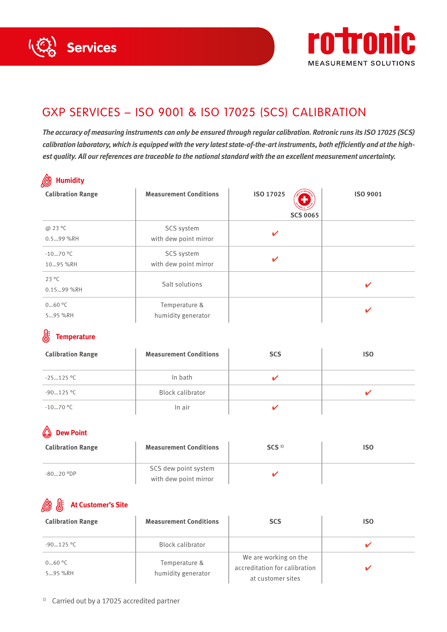



# GXP SERVICES – ISO 9001 & ISO 17025 (SCS) CALIBRATION

*The accuracy of measuring instruments can only be ensured through regular calibration. Rotronic runs its ISO 17025 (SCS) calibration laboratory, which is equipped with the very latest state-of-the-art instruments, both efficiently and at the highest quality. All our references are traceable to the national standard with the an excellent measurement uncertainty.*

| ♨<br><b>Humidity</b>         |                                     |                              |          |  |  |
|------------------------------|-------------------------------------|------------------------------|----------|--|--|
| <b>Calibration Range</b>     | <b>Measurement Conditions</b>       | ISO 17025<br><b>SCS 0065</b> | ISO 9001 |  |  |
| @ 23 °C<br>0.599 %RH         | SCS system<br>with dew point mirror | V                            |          |  |  |
| $-1070$ °C<br>1095 %RH       | SCS system<br>with dew point mirror | $\mathbf v$                  |          |  |  |
| $23^{\circ}$ C<br>0.1599 %RH | Salt solutions                      |                              | ✔        |  |  |
| 060 °C<br>595 %RH            | Temperature &<br>humidity generator |                              | ✔        |  |  |

#### 账 **Temperature**

| <b>Calibration Range</b> | <b>Measurement Conditions</b> | <b>SCS</b> | <b>ISO</b> |
|--------------------------|-------------------------------|------------|------------|
| $-25125$ °C              | In bath                       |            |            |
| $-90125$ °C              | <b>Block calibrator</b>       |            |            |
| $-1070$ °C               | In air                        |            |            |

# **Dew Point**

| <b>Calibration Range</b> | <b>Measurement Conditions</b>                 | SCS <sup>1</sup> | ISO |
|--------------------------|-----------------------------------------------|------------------|-----|
| $-8020$ °DP              | SCS dew point system<br>with dew point mirror |                  |     |

## **At Customer's Site**

| <b>Calibration Range</b> | <b>Measurement Conditions</b>       | <b>SCS</b>                                                                  | <b>ISO</b> |
|--------------------------|-------------------------------------|-----------------------------------------------------------------------------|------------|
| $-90125$ °C              | Block calibrator                    |                                                                             |            |
| 060 °C<br>595 %RH        | Temperature &<br>humidity generator | We are working on the<br>accreditation for calibration<br>at customer sites |            |